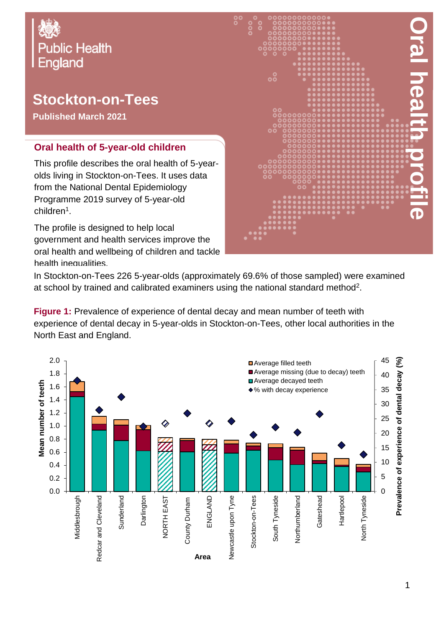# Oral Health Profile: Stockton-on-Tees local authority **Public Health England**

## **Stockton-on-Tees**

**Published March 2021**

#### **Oral health of 5-year-old children**

This profile describes the oral health of 5-yearolds living in Stockton-on-Tees. It uses data from the National Dental Epidemiology Programme 2019 survey of 5-year-old children<sup>1</sup>.

The profile is designed to help local government and health services improve the oral health and wellbeing of children and tackle health inequalities.



In Stockton-on-Tees 226 5-year-olds (approximately 69.6% of those sampled) were examined at school by trained and calibrated examiners using the national standard method<sup>2</sup>.

**Figure 1:** Prevalence of experience of dental decay and mean number of teeth with experience of dental decay in 5-year-olds in Stockton-on-Tees, other local authorities in the North East and England.

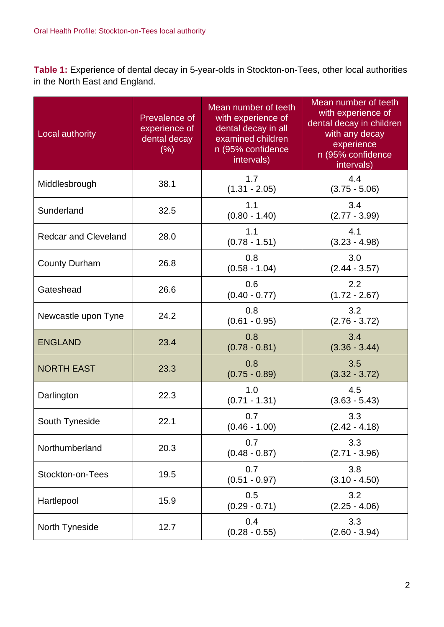**Table 1:** Experience of dental decay in 5-year-olds in Stockton-on-Tees, other local authorities in the North East and England.

| Local authority             | Prevalence of<br>experience of<br>dental decay<br>(% ) | Mean number of teeth<br>with experience of<br>dental decay in all<br>examined children<br>n (95% confidence<br>intervals) | Mean number of teeth<br>with experience of<br>dental decay in children<br>with any decay<br>experience<br>n (95% confidence<br>intervals) |
|-----------------------------|--------------------------------------------------------|---------------------------------------------------------------------------------------------------------------------------|-------------------------------------------------------------------------------------------------------------------------------------------|
| Middlesbrough               | 38.1                                                   | 1.7<br>$(1.31 - 2.05)$                                                                                                    | 4.4<br>$(3.75 - 5.06)$                                                                                                                    |
| Sunderland                  | 32.5                                                   | 1.1<br>$(0.80 - 1.40)$                                                                                                    | 3.4<br>$(2.77 - 3.99)$                                                                                                                    |
| <b>Redcar and Cleveland</b> | 28.0                                                   | 1.1<br>$(0.78 - 1.51)$                                                                                                    | 4.1<br>$(3.23 - 4.98)$                                                                                                                    |
| <b>County Durham</b>        | 26.8                                                   | 0.8<br>$(0.58 - 1.04)$                                                                                                    | 3.0<br>$(2.44 - 3.57)$                                                                                                                    |
| Gateshead                   | 26.6                                                   | 0.6<br>$(0.40 - 0.77)$                                                                                                    | 2.2<br>$(1.72 - 2.67)$                                                                                                                    |
| Newcastle upon Tyne         | 24.2                                                   | 0.8<br>$(0.61 - 0.95)$                                                                                                    | 3.2<br>$(2.76 - 3.72)$                                                                                                                    |
| <b>ENGLAND</b>              | 23.4                                                   | 0.8<br>$(0.78 - 0.81)$                                                                                                    | 3.4<br>$(3.36 - 3.44)$                                                                                                                    |
| <b>NORTH EAST</b>           | 23.3                                                   | 0.8<br>$(0.75 - 0.89)$                                                                                                    | 3.5<br>$(3.32 - 3.72)$                                                                                                                    |
| Darlington                  | 22.3                                                   | 1.0<br>$(0.71 - 1.31)$                                                                                                    | 4.5<br>$(3.63 - 5.43)$                                                                                                                    |
| South Tyneside              | 22.1                                                   | 0.7<br>$(0.46 - 1.00)$                                                                                                    | 3.3<br>$(2.42 - 4.18)$                                                                                                                    |
| Northumberland              | 20.3                                                   | 0.7<br>$(0.48 - 0.87)$                                                                                                    | 3.3<br>$(2.71 - 3.96)$                                                                                                                    |
| Stockton-on-Tees            | 19.5                                                   | 0.7<br>$(0.51 - 0.97)$                                                                                                    | 3.8<br>$(3.10 - 4.50)$                                                                                                                    |
| Hartlepool                  | 15.9                                                   | 0.5<br>$(0.29 - 0.71)$                                                                                                    | 3.2<br>$(2.25 - 4.06)$                                                                                                                    |
| North Tyneside              | 12.7                                                   | 0.4<br>$(0.28 - 0.55)$                                                                                                    | 3.3<br>$(2.60 - 3.94)$                                                                                                                    |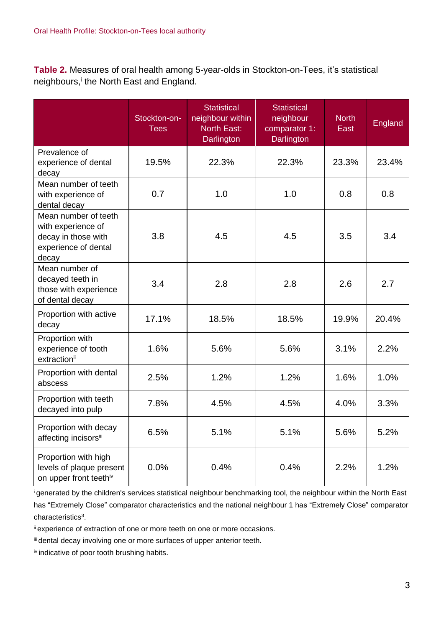**Table 2.** Measures of oral health among 5-year-olds in Stockton-on-Tees, it's statistical neighbours,<sup>i</sup> the North East and England.

|                                                                                                    | Stockton-on-<br><b>Tees</b> | <b>Statistical</b><br>neighbour within<br><b>North East:</b><br>Darlington | <b>Statistical</b><br>neighbour<br>comparator 1:<br>Darlington | <b>North</b><br>East | England |
|----------------------------------------------------------------------------------------------------|-----------------------------|----------------------------------------------------------------------------|----------------------------------------------------------------|----------------------|---------|
| Prevalence of<br>experience of dental<br>decay                                                     | 19.5%                       | 22.3%                                                                      | 22.3%                                                          | 23.3%                | 23.4%   |
| Mean number of teeth<br>with experience of<br>dental decay                                         | 0.7                         | 1.0                                                                        | 1.0                                                            | 0.8                  | 0.8     |
| Mean number of teeth<br>with experience of<br>decay in those with<br>experience of dental<br>decay | 3.8                         | 4.5                                                                        | 4.5                                                            | 3.5                  | 3.4     |
| Mean number of<br>decayed teeth in<br>those with experience<br>of dental decay                     | 3.4                         | 2.8                                                                        | 2.8                                                            | 2.6                  | 2.7     |
| Proportion with active<br>decay                                                                    | 17.1%                       | 18.5%                                                                      | 18.5%                                                          | 19.9%                | 20.4%   |
| Proportion with<br>experience of tooth<br>extractionii                                             | 1.6%                        | 5.6%                                                                       | 5.6%                                                           | 3.1%                 | 2.2%    |
| Proportion with dental<br>abscess                                                                  | 2.5%                        | 1.2%                                                                       | 1.2%                                                           | 1.6%                 | 1.0%    |
| Proportion with teeth<br>decayed into pulp                                                         | 7.8%                        | 4.5%                                                                       | 4.5%                                                           | 4.0%                 | 3.3%    |
| Proportion with decay<br>affecting incisorsii                                                      | 6.5%                        | 5.1%                                                                       | 5.1%                                                           | 5.6%                 | 5.2%    |
| Proportion with high<br>levels of plaque present<br>on upper front teethiv                         | 0.0%                        | 0.4%                                                                       | 0.4%                                                           | 2.2%                 | 1.2%    |

<sup>i</sup>generated by the children's services statistical neighbour benchmarking tool, the neighbour within the North East has "Extremely Close" comparator characteristics and the national neighbour 1 has "Extremely Close" comparator characteristics<sup>3</sup>.

ii experience of extraction of one or more teeth on one or more occasions.

iii dental decay involving one or more surfaces of upper anterior teeth.

iv indicative of poor tooth brushing habits.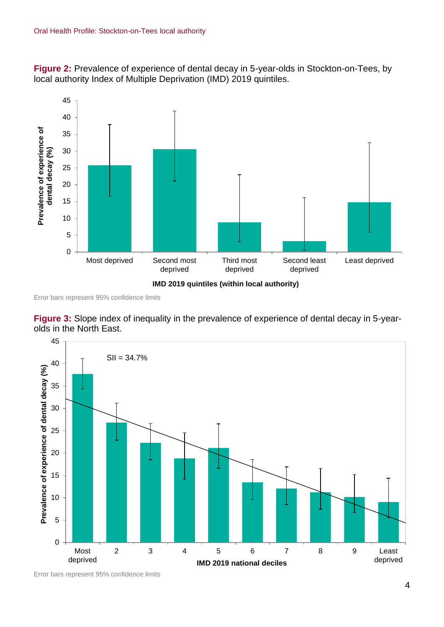**Figure 2:** Prevalence of experience of dental decay in 5-year-olds in Stockton-on-Tees, by local authority Index of Multiple Deprivation (IMD) 2019 quintiles.



Error bars represent 95% confidence limits





Error bars represent 95% confidence limits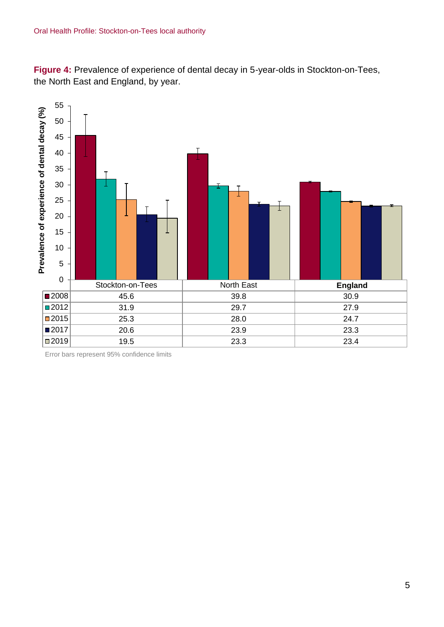**Figure 4:** Prevalence of experience of dental decay in 5-year-olds in Stockton-on-Tees, the North East and England, by year.



Error bars represent 95% confidence limits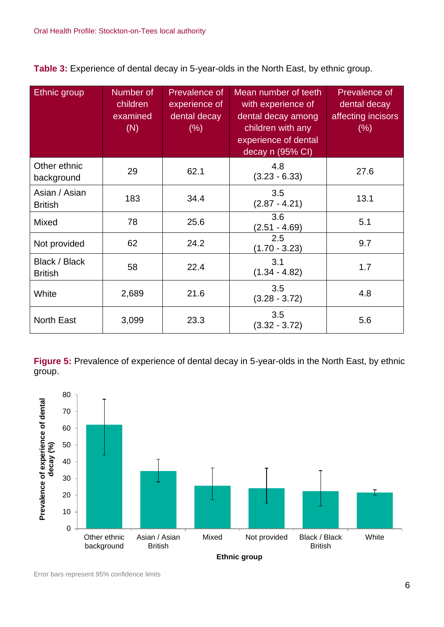**Table 3:** Experience of dental decay in 5-year-olds in the North East, by ethnic group.

| Ethnic group                    | Number of<br>children<br>examined<br>(N) | Prevalence of<br>experience of<br>dental decay<br>$(\% )$ | Mean number of teeth<br>with experience of<br>dental decay among<br>children with any<br>experience of dental<br>decay n (95% CI) | Prevalence of<br>dental decay<br>affecting incisors<br>$(\% )$ |
|---------------------------------|------------------------------------------|-----------------------------------------------------------|-----------------------------------------------------------------------------------------------------------------------------------|----------------------------------------------------------------|
| Other ethnic<br>background      | 29                                       | 62.1                                                      | 4.8<br>$(3.23 - 6.33)$                                                                                                            | 27.6                                                           |
| Asian / Asian<br><b>British</b> | 183                                      | 34.4                                                      | 3.5<br>$(2.87 - 4.21)$                                                                                                            | 13.1                                                           |
| Mixed                           | 78                                       | 25.6                                                      | 3.6<br>$(2.51 - 4.69)$                                                                                                            | 5.1                                                            |
| Not provided                    | 62                                       | 24.2                                                      | 2.5<br>$(1.70 - 3.23)$                                                                                                            | 9.7                                                            |
| Black / Black<br><b>British</b> | 58                                       | 22.4                                                      | 3.1<br>$(1.34 - 4.82)$                                                                                                            | 1.7                                                            |
| White                           | 2,689                                    | 21.6                                                      | 3.5<br>$(3.28 - 3.72)$                                                                                                            | 4.8                                                            |
| <b>North East</b>               | 3,099                                    | 23.3                                                      | 3.5<br>$(3.32 - 3.72)$                                                                                                            | 5.6                                                            |

**Figure 5:** Prevalence of experience of dental decay in 5-year-olds in the North East, by ethnic group.

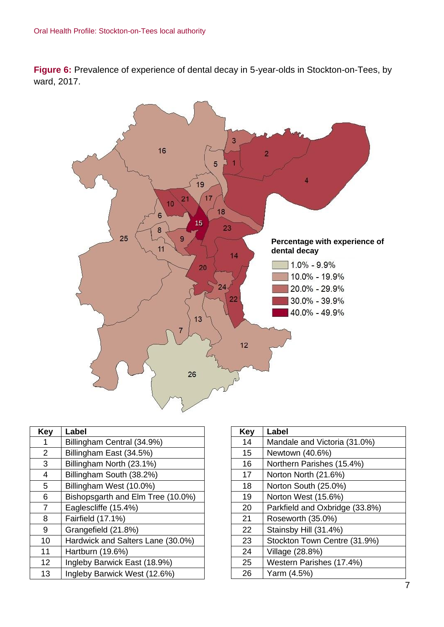**Figure 6:** Prevalence of experience of dental decay in 5-year-olds in Stockton-on-Tees, by ward, 2017.



| Key | Label                             |
|-----|-----------------------------------|
| 1   | Billingham Central (34.9%)        |
| 2   | Billingham East (34.5%)           |
| 3   | Billingham North (23.1%)          |
| 4   | Billingham South (38.2%)          |
| 5   | Billingham West (10.0%)           |
| 6   | Bishopsgarth and Elm Tree (10.0%) |
| 7   | Eaglescliffe (15.4%)              |
| 8   | Fairfield (17.1%)                 |
| 9   | Grangefield (21.8%)               |
| 10  | Hardwick and Salters Lane (30.0%) |
| 11  | Hartburn (19.6%)                  |
| 12  | Ingleby Barwick East (18.9%)      |
| 13  | Ingleby Barwick West (12.6%)      |

| Key | Label                          |
|-----|--------------------------------|
| 14  | Mandale and Victoria (31.0%)   |
| 15  | Newtown (40.6%)                |
| 16  | Northern Parishes (15.4%)      |
| 17  | Norton North (21.6%)           |
| 18  | Norton South (25.0%)           |
| 19  | Norton West (15.6%)            |
| 20  | Parkfield and Oxbridge (33.8%) |
| 21  | Roseworth (35.0%)              |
| 22  | Stainsby Hill (31.4%)          |
| 23  | Stockton Town Centre (31.9%)   |
| 24  | Village (28.8%)                |
| 25  | Western Parishes (17.4%)       |
| 26  | Yarm (4.5%)                    |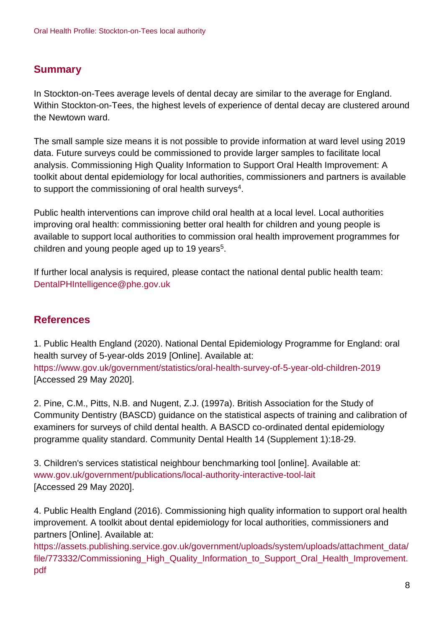### **Summary**

In Stockton-on-Tees average levels of dental decay are similar to the average for England. Within Stockton-on-Tees, the highest levels of experience of dental decay are clustered around the Newtown ward.

The small sample size means it is not possible to provide information at ward level using 2019 data. Future surveys could be commissioned to provide larger samples to facilitate local analysis. Commissioning High Quality Information to Support Oral Health Improvement: A toolkit about dental epidemiology for local authorities, commissioners and partners is available to support the commissioning of oral health surveys $^4$ .

Public health interventions can improve child oral health at a local level. Local authorities improving oral health: commissioning better oral health for children and young people is available to support local authorities to commission oral health improvement programmes for children and young people aged up to 19 years<sup>5</sup>.

If further local analysis is required, please contact the national dental public health team: DentalPHIntelligence@phe.gov.uk

#### **References**

1. Public Health England (2020). National Dental Epidemiology Programme for England: oral health survey of 5-year-olds 2019 [Online]. Available at: <https://www.gov.uk/government/statistics/oral-health-survey-of-5-year-old-children-2019> [Accessed 29 May 2020].

2. Pine, C.M., Pitts, N.B. and Nugent, Z.J. (1997a). British Association for the Study of Community Dentistry (BASCD) guidance on the statistical aspects of training and calibration of examiners for surveys of child dental health. A BASCD co-ordinated dental epidemiology programme quality standard. Community Dental Health 14 (Supplement 1):18-29.

3. Children's services statistical neighbour benchmarking tool [online]. Available at: [www.gov.uk/government/publications/local-authority-interactive-tool-lait](http://www.gov.uk/government/publications/local-authority-interactive-tool-lait) [Accessed 29 May 2020].

4. Public Health England (2016). Commissioning high quality information to support oral health improvement. A toolkit about dental epidemiology for local authorities, commissioners and partners [Online]. Available at:

[https://assets.publishing.service.gov.uk/government/uploads/system/uploads/attachment\\_data/](https://assets.publishing.service.gov.uk/government/uploads/system/uploads/attachment_data/file/773332/Commissioning_High_Quality_Information_to_Support_Oral_Health_Improvement.pdf) [file/773332/Commissioning\\_High\\_Quality\\_Information\\_to\\_Support\\_Oral\\_Health\\_Improvement.](https://assets.publishing.service.gov.uk/government/uploads/system/uploads/attachment_data/file/773332/Commissioning_High_Quality_Information_to_Support_Oral_Health_Improvement.pdf) [pdf](https://assets.publishing.service.gov.uk/government/uploads/system/uploads/attachment_data/file/773332/Commissioning_High_Quality_Information_to_Support_Oral_Health_Improvement.pdf)